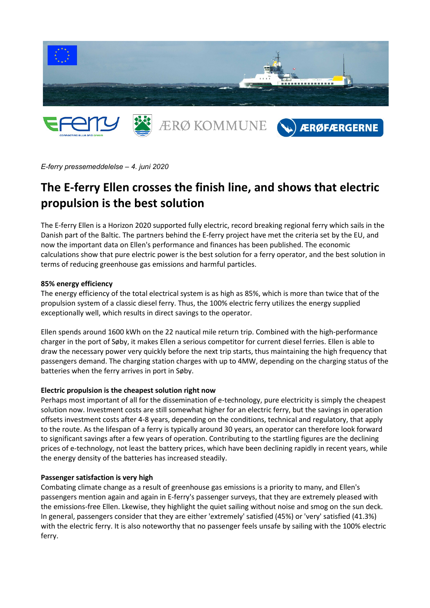

*E-ferry pressemeddelelse – 4. juni 2020* 

# **The E-ferry Ellen crosses the finish line, and shows that electric propulsion is the best solution**

The E-ferry Ellen is a Horizon 2020 supported fully electric, record breaking regional ferry which sails in the Danish part of the Baltic. The partners behind the E-ferry project have met the criteria set by the EU, and now the important data on Ellen's performance and finances has been published. The economic calculations show that pure electric power is the best solution for a ferry operator, and the best solution in terms of reducing greenhouse gas emissions and harmful particles.

#### **85% energy efficiency**

The energy efficiency of the total electrical system is as high as 85%, which is more than twice that of the propulsion system of a classic diesel ferry. Thus, the 100% electric ferry utilizes the energy supplied exceptionally well, which results in direct savings to the operator.

Ellen spends around 1600 kWh on the 22 nautical mile return trip. Combined with the high-performance charger in the port of Søby, it makes Ellen a serious competitor for current diesel ferries. Ellen is able to draw the necessary power very quickly before the next trip starts, thus maintaining the high frequency that passengers demand. The charging station charges with up to 4MW, depending on the charging status of the batteries when the ferry arrives in port in Søby.

#### **Electric propulsion is the cheapest solution right now**

Perhaps most important of all for the dissemination of e-technology, pure electricity is simply the cheapest solution now. Investment costs are still somewhat higher for an electric ferry, but the savings in operation offsets investment costs after 4-8 years, depending on the conditions, technical and regulatory, that apply to the route. As the lifespan of a ferry is typically around 30 years, an operator can therefore look forward to significant savings after a few years of operation. Contributing to the startling figures are the declining prices of e-technology, not least the battery prices, which have been declining rapidly in recent years, while the energy density of the batteries has increased steadily.

#### **Passenger satisfaction is very high**

Combating climate change as a result of greenhouse gas emissions is a priority to many, and Ellen's passengers mention again and again in E-ferry's passenger surveys, that they are extremely pleased with the emissions-free Ellen. Lkewise, they highlight the quiet sailing without noise and smog on the sun deck. In general, passengers consider that they are either 'extremely' satisfied (45%) or 'very' satisfied (41.3%) with the electric ferry. It is also noteworthy that no passenger feels unsafe by sailing with the 100% electric ferry.